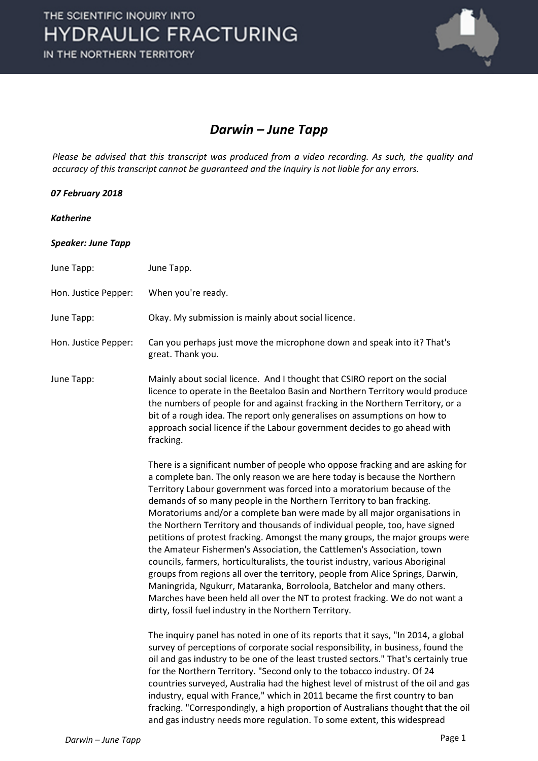

## *Darwin – June Tapp*

*Please be advised that this transcript was produced from a video recording. As such, the quality and accuracy of this transcript cannot be guaranteed and the Inquiry is not liable for any errors.*

## *07 February 2018*

## *Katherine*

| <b>Speaker: June Tapp</b> |  |  |  |
|---------------------------|--|--|--|
|---------------------------|--|--|--|

| June Tapp:           | June Tapp.                                                                                                                                                                                                                                                                                                                                                                                                                                                                                                                                                                                                                                                                                                                                                                                                                                                                                                                                                                                                                    |
|----------------------|-------------------------------------------------------------------------------------------------------------------------------------------------------------------------------------------------------------------------------------------------------------------------------------------------------------------------------------------------------------------------------------------------------------------------------------------------------------------------------------------------------------------------------------------------------------------------------------------------------------------------------------------------------------------------------------------------------------------------------------------------------------------------------------------------------------------------------------------------------------------------------------------------------------------------------------------------------------------------------------------------------------------------------|
| Hon. Justice Pepper: | When you're ready.                                                                                                                                                                                                                                                                                                                                                                                                                                                                                                                                                                                                                                                                                                                                                                                                                                                                                                                                                                                                            |
| June Tapp:           | Okay. My submission is mainly about social licence.                                                                                                                                                                                                                                                                                                                                                                                                                                                                                                                                                                                                                                                                                                                                                                                                                                                                                                                                                                           |
| Hon. Justice Pepper: | Can you perhaps just move the microphone down and speak into it? That's<br>great. Thank you.                                                                                                                                                                                                                                                                                                                                                                                                                                                                                                                                                                                                                                                                                                                                                                                                                                                                                                                                  |
| June Tapp:           | Mainly about social licence. And I thought that CSIRO report on the social<br>licence to operate in the Beetaloo Basin and Northern Territory would produce<br>the numbers of people for and against fracking in the Northern Territory, or a<br>bit of a rough idea. The report only generalises on assumptions on how to<br>approach social licence if the Labour government decides to go ahead with<br>fracking.                                                                                                                                                                                                                                                                                                                                                                                                                                                                                                                                                                                                          |
|                      | There is a significant number of people who oppose fracking and are asking for<br>a complete ban. The only reason we are here today is because the Northern<br>Territory Labour government was forced into a moratorium because of the<br>demands of so many people in the Northern Territory to ban fracking.<br>Moratoriums and/or a complete ban were made by all major organisations in<br>the Northern Territory and thousands of individual people, too, have signed<br>petitions of protest fracking. Amongst the many groups, the major groups were<br>the Amateur Fishermen's Association, the Cattlemen's Association, town<br>councils, farmers, horticulturalists, the tourist industry, various Aboriginal<br>groups from regions all over the territory, people from Alice Springs, Darwin,<br>Maningrida, Ngukurr, Mataranka, Borroloola, Batchelor and many others.<br>Marches have been held all over the NT to protest fracking. We do not want a<br>dirty, fossil fuel industry in the Northern Territory. |
|                      | The inquiry panel has noted in one of its reports that it says, "In 2014, a global<br>survey of perceptions of corporate social responsibility, in business, found the<br>oil and gas industry to be one of the least trusted sectors." That's certainly true<br>for the Northern Territory. "Second only to the tobacco industry. Of 24<br>countries surveyed, Australia had the highest level of mistrust of the oil and gas<br>industry, equal with France," which in 2011 became the first country to ban<br>fracking. "Correspondingly, a high proportion of Australians thought that the oil<br>and gas industry needs more regulation. To some extent, this widespread                                                                                                                                                                                                                                                                                                                                                 |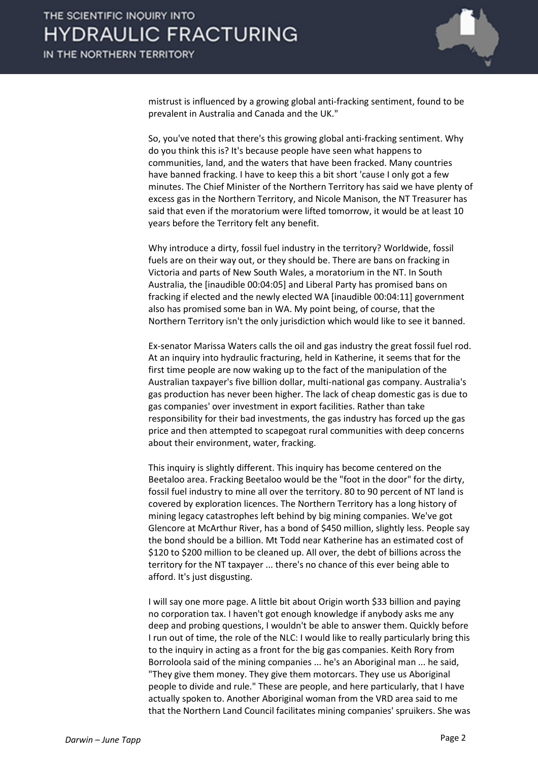

mistrust is influenced by a growing global anti-fracking sentiment, found to be prevalent in Australia and Canada and the UK."

So, you've noted that there's this growing global anti-fracking sentiment. Why do you think this is? It's because people have seen what happens to communities, land, and the waters that have been fracked. Many countries have banned fracking. I have to keep this a bit short 'cause I only got a few minutes. The Chief Minister of the Northern Territory has said we have plenty of excess gas in the Northern Territory, and Nicole Manison, the NT Treasurer has said that even if the moratorium were lifted tomorrow, it would be at least 10 years before the Territory felt any benefit.

Why introduce a dirty, fossil fuel industry in the territory? Worldwide, fossil fuels are on their way out, or they should be. There are bans on fracking in Victoria and parts of New South Wales, a moratorium in the NT. In South Australia, the [inaudible 00:04:05] and Liberal Party has promised bans on fracking if elected and the newly elected WA [inaudible 00:04:11] government also has promised some ban in WA. My point being, of course, that the Northern Territory isn't the only jurisdiction which would like to see it banned.

Ex-senator Marissa Waters calls the oil and gas industry the great fossil fuel rod. At an inquiry into hydraulic fracturing, held in Katherine, it seems that for the first time people are now waking up to the fact of the manipulation of the Australian taxpayer's five billion dollar, multi-national gas company. Australia's gas production has never been higher. The lack of cheap domestic gas is due to gas companies' over investment in export facilities. Rather than take responsibility for their bad investments, the gas industry has forced up the gas price and then attempted to scapegoat rural communities with deep concerns about their environment, water, fracking.

This inquiry is slightly different. This inquiry has become centered on the Beetaloo area. Fracking Beetaloo would be the "foot in the door" for the dirty, fossil fuel industry to mine all over the territory. 80 to 90 percent of NT land is covered by exploration licences. The Northern Territory has a long history of mining legacy catastrophes left behind by big mining companies. We've got Glencore at McArthur River, has a bond of \$450 million, slightly less. People say the bond should be a billion. Mt Todd near Katherine has an estimated cost of \$120 to \$200 million to be cleaned up. All over, the debt of billions across the territory for the NT taxpayer ... there's no chance of this ever being able to afford. It's just disgusting.

I will say one more page. A little bit about Origin worth \$33 billion and paying no corporation tax. I haven't got enough knowledge if anybody asks me any deep and probing questions, I wouldn't be able to answer them. Quickly before I run out of time, the role of the NLC: I would like to really particularly bring this to the inquiry in acting as a front for the big gas companies. Keith Rory from Borroloola said of the mining companies ... he's an Aboriginal man ... he said, "They give them money. They give them motorcars. They use us Aboriginal people to divide and rule." These are people, and here particularly, that I have actually spoken to. Another Aboriginal woman from the VRD area said to me that the Northern Land Council facilitates mining companies' spruikers. She was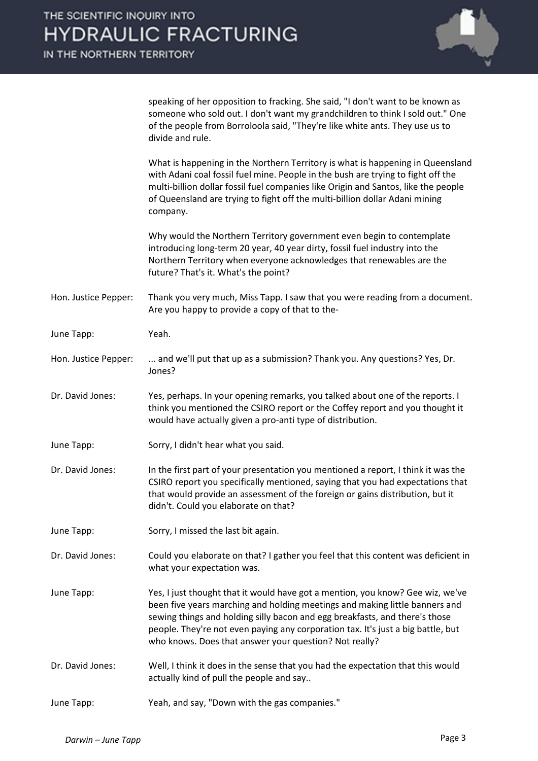|                      | speaking of her opposition to fracking. She said, "I don't want to be known as<br>someone who sold out. I don't want my grandchildren to think I sold out." One<br>of the people from Borroloola said, "They're like white ants. They use us to<br>divide and rule.                                                                                                                        |
|----------------------|--------------------------------------------------------------------------------------------------------------------------------------------------------------------------------------------------------------------------------------------------------------------------------------------------------------------------------------------------------------------------------------------|
|                      | What is happening in the Northern Territory is what is happening in Queensland<br>with Adani coal fossil fuel mine. People in the bush are trying to fight off the<br>multi-billion dollar fossil fuel companies like Origin and Santos, like the people<br>of Queensland are trying to fight off the multi-billion dollar Adani mining<br>company.                                        |
|                      | Why would the Northern Territory government even begin to contemplate<br>introducing long-term 20 year, 40 year dirty, fossil fuel industry into the<br>Northern Territory when everyone acknowledges that renewables are the<br>future? That's it. What's the point?                                                                                                                      |
| Hon. Justice Pepper: | Thank you very much, Miss Tapp. I saw that you were reading from a document.<br>Are you happy to provide a copy of that to the-                                                                                                                                                                                                                                                            |
| June Tapp:           | Yeah.                                                                                                                                                                                                                                                                                                                                                                                      |
| Hon. Justice Pepper: | and we'll put that up as a submission? Thank you. Any questions? Yes, Dr.<br>Jones?                                                                                                                                                                                                                                                                                                        |
| Dr. David Jones:     | Yes, perhaps. In your opening remarks, you talked about one of the reports. I<br>think you mentioned the CSIRO report or the Coffey report and you thought it<br>would have actually given a pro-anti type of distribution.                                                                                                                                                                |
| June Tapp:           | Sorry, I didn't hear what you said.                                                                                                                                                                                                                                                                                                                                                        |
| Dr. David Jones:     | In the first part of your presentation you mentioned a report, I think it was the<br>CSIRO report you specifically mentioned, saying that you had expectations that<br>that would provide an assessment of the foreign or gains distribution, but it<br>didn't. Could you elaborate on that?                                                                                               |
| June Tapp:           | Sorry, I missed the last bit again.                                                                                                                                                                                                                                                                                                                                                        |
| Dr. David Jones:     | Could you elaborate on that? I gather you feel that this content was deficient in<br>what your expectation was.                                                                                                                                                                                                                                                                            |
| June Tapp:           | Yes, I just thought that it would have got a mention, you know? Gee wiz, we've<br>been five years marching and holding meetings and making little banners and<br>sewing things and holding silly bacon and egg breakfasts, and there's those<br>people. They're not even paying any corporation tax. It's just a big battle, but<br>who knows. Does that answer your question? Not really? |
| Dr. David Jones:     | Well, I think it does in the sense that you had the expectation that this would<br>actually kind of pull the people and say                                                                                                                                                                                                                                                                |
| June Tapp:           | Yeah, and say, "Down with the gas companies."                                                                                                                                                                                                                                                                                                                                              |